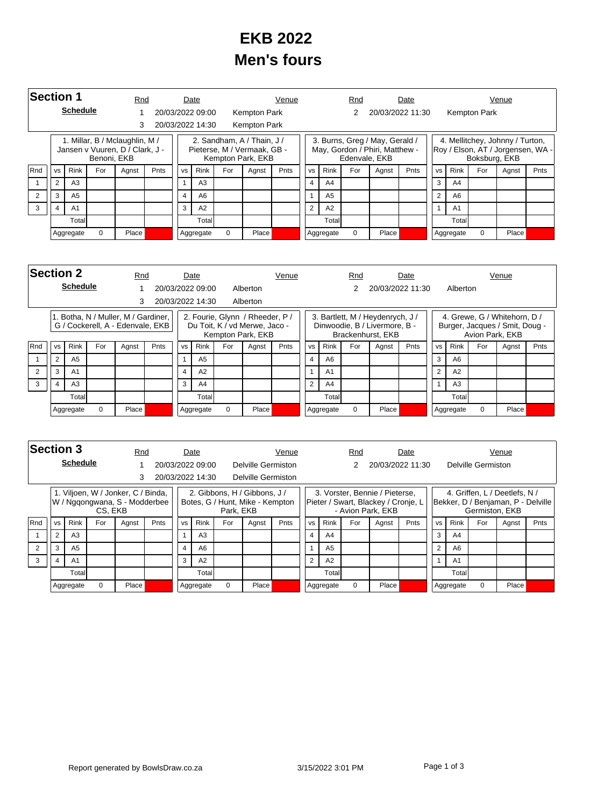## **EKB 2022 Men's fours**

| <b>Section 1</b> |                     |                 |             | Rnd                                                               |      |                | Date             |          |                                                                                | Venue |                |                | Rnd           |                                                                  | Date |                |                |               | Venue                                                                |      |
|------------------|---------------------|-----------------|-------------|-------------------------------------------------------------------|------|----------------|------------------|----------|--------------------------------------------------------------------------------|-------|----------------|----------------|---------------|------------------------------------------------------------------|------|----------------|----------------|---------------|----------------------------------------------------------------------|------|
|                  |                     | <b>Schedule</b> |             |                                                                   |      |                | 20/03/2022 09:00 |          | Kempton Park                                                                   |       |                |                |               | 20/03/2022 11:30                                                 |      |                |                | Kempton Park  |                                                                      |      |
|                  |                     |                 |             | 3                                                                 |      |                | 20/03/2022 14:30 |          | Kempton Park                                                                   |       |                |                |               |                                                                  |      |                |                |               |                                                                      |      |
|                  |                     |                 | Benoni, EKB | 1. Millar, B / Mclaughlin, M /<br>Jansen v Vuuren, D / Clark, J - |      |                |                  |          | 2. Sandham, A / Thain, J /<br>Pieterse, M / Vermaak, GB -<br>Kempton Park, EKB |       |                |                | Edenvale, EKB | 3. Burns, Greg / May, Gerald /<br>May, Gordon / Phiri, Matthew - |      |                |                | Boksburg, EKB | 4. Mellitchey, Johnny / Turton,<br>Roy / Elson, AT / Jorgensen, WA - |      |
| <b>Rnd</b>       | <b>VS</b>           | <b>Rink</b>     | For         | Agnst                                                             | Pnts | <b>VS</b>      | Rink             | For      | Agnst                                                                          | Pnts  | <b>VS</b>      | Rink           | For           | Agnst                                                            | Pnts | <b>VS</b>      | <b>Rink</b>    | For           | Agnst                                                                | Pnts |
|                  | 2                   | A <sub>3</sub>  |             |                                                                   |      |                | A <sub>3</sub>   |          |                                                                                |       | 4              | A <sub>4</sub> |               |                                                                  |      | 3              | A4             |               |                                                                      |      |
| 2                | 3                   | A <sub>5</sub>  |             |                                                                   |      | $\overline{4}$ | A <sub>6</sub>   |          |                                                                                |       |                | A <sub>5</sub> |               |                                                                  |      | $\overline{2}$ | A6             |               |                                                                      |      |
| 3                | A <sub>1</sub><br>4 |                 |             |                                                                   |      | 3              | A2               |          |                                                                                |       | $\overline{2}$ | A2             |               |                                                                  |      | 1              | A <sub>1</sub> |               |                                                                      |      |
|                  |                     | Total           |             |                                                                   |      |                | Total            |          |                                                                                |       |                | Totall         |               |                                                                  |      |                | Total          |               |                                                                      |      |
|                  |                     | Aggregate       | $\Omega$    | Place                                                             |      |                | Aggregate        | $\Omega$ | Place                                                                          |       |                | Aggregate      | $\Omega$      | Place                                                            |      |                | Aggregate      | $\Omega$      | Place                                                                |      |

| <b>Section 2</b> |           |                 |          | Rnd                                                                     |      |           | Date             |     |                                                                                       | Venue |           |                | Rnd      |                                                                                        | Date             |           |                |          | Venue                                                                             |      |
|------------------|-----------|-----------------|----------|-------------------------------------------------------------------------|------|-----------|------------------|-----|---------------------------------------------------------------------------------------|-------|-----------|----------------|----------|----------------------------------------------------------------------------------------|------------------|-----------|----------------|----------|-----------------------------------------------------------------------------------|------|
|                  |           | <b>Schedule</b> |          |                                                                         |      |           | 20/03/2022 09:00 |     | Alberton                                                                              |       |           |                |          |                                                                                        | 20/03/2022 11:30 |           | Alberton       |          |                                                                                   |      |
|                  |           |                 |          | 3                                                                       |      |           | 20/03/2022 14:30 |     | Alberton                                                                              |       |           |                |          |                                                                                        |                  |           |                |          |                                                                                   |      |
|                  |           |                 |          | 1. Botha, N / Muller, M / Gardiner,<br>G / Cockerell, A - Edenvale, EKB |      |           |                  |     | 2. Fourie, Glynn / Rheeder, P /<br>Du Toit, K / vd Merwe, Jaco -<br>Kempton Park, EKB |       |           |                |          | 3. Bartlett, M / Heydenrych, J /<br>Dinwoodie, B / Livermore, B -<br>Brackenhurst, EKB |                  |           |                |          | 4. Grewe, G / Whitehorn, D /<br>Burger, Jacques / Smit, Doug -<br>Avion Park, EKB |      |
| Rnd              | <b>VS</b> | <b>Rink</b>     | For      | Agnst                                                                   | Pnts | <b>VS</b> | <b>Rink</b>      | For | Agnst                                                                                 | Pnts  | <b>VS</b> | <b>Rink</b>    | For      | Agnst                                                                                  | Pnts             | <b>VS</b> | <b>Rink</b>    | For      | Agnst                                                                             | Pnts |
|                  | 2         | A <sub>5</sub>  |          |                                                                         |      |           | A <sub>5</sub>   |     |                                                                                       |       | 4         | A <sub>6</sub> |          |                                                                                        |                  | 3         | A6             |          |                                                                                   |      |
|                  | 3         | A <sub>1</sub>  |          |                                                                         |      | 4         | A2               |     |                                                                                       |       |           | A <sub>1</sub> |          |                                                                                        |                  | 2         | A2             |          |                                                                                   |      |
| 3                | A3<br>4   |                 |          |                                                                         |      | 3         | A4               |     |                                                                                       |       | 2         | A4             |          |                                                                                        |                  |           | A <sub>3</sub> |          |                                                                                   |      |
|                  | Totall    |                 |          |                                                                         |      | Totall    |                  |     |                                                                                       |       | Totall    |                |          |                                                                                        |                  | Total     |                |          |                                                                                   |      |
|                  |           | Aggregate       | $\Omega$ | Place                                                                   |      |           | Aggregate        | 0   | Place                                                                                 |       |           | Aggregate      | $\Omega$ | Place                                                                                  |                  |           | Aggregate      | $\Omega$ | Place                                                                             |      |

|     | <b>Section 3</b><br><b>Schedule</b> |                |          |                                                                     | Rnd  |                | Date             |           |                                                                 | Venue |                |             | Rnd      |                                                                                            | Date |           |                |                    | Venue                                                               |      |
|-----|-------------------------------------|----------------|----------|---------------------------------------------------------------------|------|----------------|------------------|-----------|-----------------------------------------------------------------|-------|----------------|-------------|----------|--------------------------------------------------------------------------------------------|------|-----------|----------------|--------------------|---------------------------------------------------------------------|------|
|     |                                     |                |          |                                                                     |      |                | 20/03/2022 09:00 |           | Delville Germiston                                              |       |                |             |          | 20/03/2022 11:30                                                                           |      |           |                | Delville Germiston |                                                                     |      |
|     |                                     |                |          |                                                                     |      |                | 20/03/2022 14:30 |           | Delville Germiston                                              |       |                |             |          |                                                                                            |      |           |                |                    |                                                                     |      |
|     |                                     |                | CS, EKB  | 1. Viljoen, W / Jonker, C / Binda,<br>W / Nggongwana, S - Modderbee |      |                |                  | Park, EKB | 2. Gibbons, H / Gibbons, J /<br>Botes, G / Hunt, Mike - Kempton |       |                |             |          | 3. Vorster, Bennie / Pieterse,<br>Pieter / Swart, Blackey / Cronje, L<br>- Avion Park, EKB |      |           |                | Germiston, EKB     | 4. Griffen, L / Deetlefs, N /<br>Bekker, D / Benjaman, P - Delville |      |
| Rnd | <b>VS</b>                           | <b>Rink</b>    | For      | Agnst                                                               | Pnts | <b>VS</b>      | <b>Rink</b>      | For       | Agnst                                                           | Pnts  | <b>VS</b>      | <b>Rink</b> | For      | Agnst                                                                                      | Pnts | <b>VS</b> | Rink           | For                | Agnst                                                               | Pnts |
|     | $\overline{2}$                      | A3             |          |                                                                     |      |                | A <sub>3</sub>   |           |                                                                 |       |                | A4          |          |                                                                                            |      | 3         | A <sub>4</sub> |                    |                                                                     |      |
|     | 3                                   | A <sub>5</sub> |          |                                                                     |      | $\overline{4}$ | A6               |           |                                                                 |       |                | A5          |          |                                                                                            |      | 2         | A6             |                    |                                                                     |      |
| 3   | A <sub>1</sub><br>4                 |                |          |                                                                     |      | 3              | A2               |           |                                                                 |       | $\overline{2}$ | A2          |          |                                                                                            |      |           | A <sub>1</sub> |                    |                                                                     |      |
|     | Total                               |                |          |                                                                     |      |                | Total            |           |                                                                 |       |                | Total       |          |                                                                                            |      |           | Total          |                    |                                                                     |      |
|     |                                     | Aggregate      | $\Omega$ | Place                                                               |      |                | Aggregate        | $\Omega$  | Place                                                           |       |                | Aggregate   | $\Omega$ | Place                                                                                      |      |           | Aggregate      | $\Omega$           | Place                                                               |      |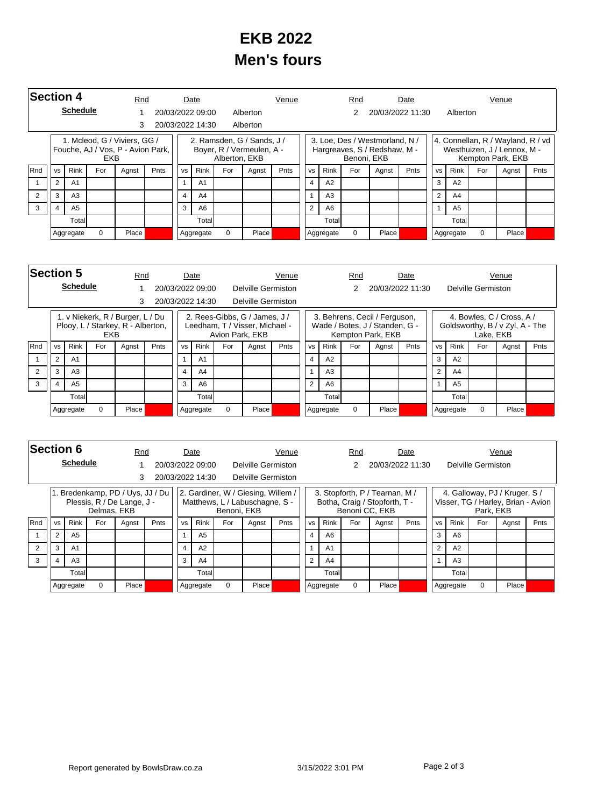## **EKB 2022 Men's fours**

| <b>Section 4</b> |                |                 |          | Rnd                                                               |      |                | Date             |               |                                                         | Venue       |                |                | Rnd         |                                                                | Date             |                |                |          | Venue                                                                                 |      |
|------------------|----------------|-----------------|----------|-------------------------------------------------------------------|------|----------------|------------------|---------------|---------------------------------------------------------|-------------|----------------|----------------|-------------|----------------------------------------------------------------|------------------|----------------|----------------|----------|---------------------------------------------------------------------------------------|------|
|                  |                | <b>Schedule</b> |          |                                                                   |      |                | 20/03/2022 09:00 |               | Alberton                                                |             |                |                |             |                                                                | 20/03/2022 11:30 |                | Alberton       |          |                                                                                       |      |
|                  |                |                 |          | 3                                                                 |      |                | 20/03/2022 14:30 |               | Alberton                                                |             |                |                |             |                                                                |                  |                |                |          |                                                                                       |      |
|                  |                |                 | EKB      | 1. Mcleod, G / Viviers, GG /<br>Fouche, AJ / Vos, P - Avion Park, |      |                |                  | Alberton, EKB | 2. Ramsden, G / Sands, J /<br>Boyer, R / Vermeulen, A - |             |                |                | Benoni, EKB | 3. Loe, Des / Westmorland, N /<br>Hargreaves, S / Redshaw, M - |                  |                |                |          | 4. Connellan, R / Wayland, R / vd<br>Westhuizen, J / Lennox, M -<br>Kempton Park, EKB |      |
| Rnd              | <b>VS</b>      | Rink            | For      | Agnst                                                             | Pnts | <b>VS</b>      | <b>Rink</b>      | For           | Agnst                                                   | <b>Pnts</b> | <b>VS</b>      | Rink           | For         | Agnst                                                          | Pnts             | <b>VS</b>      | <b>Rink</b>    | For      | Agnst                                                                                 | Pnts |
|                  | $\overline{2}$ | A <sub>1</sub>  |          |                                                                   |      |                | A <sub>1</sub>   |               |                                                         |             | $\overline{4}$ | A2             |             |                                                                |                  | 3              | A2             |          |                                                                                       |      |
| 2                | 3              | A <sub>3</sub>  |          |                                                                   |      | $\overline{4}$ | A <sub>4</sub>   |               |                                                         |             |                | A <sub>3</sub> |             |                                                                |                  | $\overline{2}$ | A <sub>4</sub> |          |                                                                                       |      |
| 3                | $\overline{4}$ | A <sub>5</sub>  |          |                                                                   |      | 3              | A6               |               |                                                         |             | $\overline{2}$ | A6             |             |                                                                |                  | 1              | A <sub>5</sub> |          |                                                                                       |      |
|                  | Total          |                 |          |                                                                   |      |                | Totall           |               |                                                         |             |                | Total          |             |                                                                |                  |                | Totall         |          |                                                                                       |      |
|                  |                | Aggregate       | $\Omega$ | Place                                                             |      |                | Aggregate        | $\Omega$      | Place                                                   |             |                | Aggregate      | $\Omega$    | Place                                                          |                  |                | Aggregate      | $\Omega$ | Place                                                                                 |      |

|            | <b>Section 5</b><br><b>Schedule</b> |                |     |                                                                       | Rnd  |           | Date             |     |                                                                                    | Venue |                |                | Rnd      |                                                                                      | Date |                |                |                           | Venue                                                        |      |
|------------|-------------------------------------|----------------|-----|-----------------------------------------------------------------------|------|-----------|------------------|-----|------------------------------------------------------------------------------------|-------|----------------|----------------|----------|--------------------------------------------------------------------------------------|------|----------------|----------------|---------------------------|--------------------------------------------------------------|------|
|            |                                     |                |     |                                                                       |      |           | 20/03/2022 09:00 |     | Delville Germiston                                                                 |       |                |                | 2        | 20/03/2022 11:30                                                                     |      |                |                | <b>Delville Germiston</b> |                                                              |      |
|            |                                     |                |     | 3                                                                     |      |           | 20/03/2022 14:30 |     | Delville Germiston                                                                 |       |                |                |          |                                                                                      |      |                |                |                           |                                                              |      |
|            |                                     |                | EKB | 1. v Niekerk, R / Burger, L / Du<br>Plooy, L / Starkey, R - Alberton, |      |           |                  |     | 2. Rees-Gibbs, G / James, J /<br>Leedham, T / Visser, Michael -<br>Avion Park, EKB |       |                |                |          | 3. Behrens, Cecil / Ferguson,<br>Wade / Botes, J / Standen, G -<br>Kempton Park, EKB |      |                |                | Lake, EKB                 | 4. Bowles, C / Cross, A /<br>Goldsworthy, B / v Zyl, A - The |      |
| <b>Rnd</b> | <b>VS</b>                           | <b>Rink</b>    | For | Agnst                                                                 | Pnts | <b>VS</b> | Rink             | For | Agnst                                                                              | Pnts  | <b>VS</b>      | <b>Rink</b>    | For      | Agnst                                                                                | Pnts | <b>VS</b>      | Rink           | For                       | Agnst                                                        | Pnts |
|            | 2                                   | A <sub>1</sub> |     |                                                                       |      |           | A <sub>1</sub>   |     |                                                                                    |       | 4              | A2             |          |                                                                                      |      | 3              | A2             |                           |                                                              |      |
|            | 3                                   | A3             |     |                                                                       |      | 4         | A4               |     |                                                                                    |       |                | A <sub>3</sub> |          |                                                                                      |      | $\mathfrak{p}$ | A4             |                           |                                                              |      |
| 3          | A <sub>5</sub><br>4                 |                |     |                                                                       |      | 3         | A <sub>6</sub>   |     |                                                                                    |       | $\overline{2}$ | A6             |          |                                                                                      |      |                | A <sub>5</sub> |                           |                                                              |      |
|            | Total                               |                |     |                                                                       |      |           | Totall           |     |                                                                                    |       |                | Totall         |          |                                                                                      |      |                | Totall         |                           |                                                              |      |
|            |                                     | Aggregate      | 0   | Place                                                                 |      |           | Aggregate        | 0   | Place                                                                              |       |                | Aggregate      | $\Omega$ | Place                                                                                |      |                | Aggregate      | $\Omega$                  | Place                                                        |      |

|     | <b>Section 6</b><br><b>Schedule</b> |                                        |             |                                                               | Rnd  |           | Date             |             |                                                                      | Venue          |               |                | Rnd      |                                                                                   | Date |           |             |                    | Venue                                                               |      |
|-----|-------------------------------------|----------------------------------------|-------------|---------------------------------------------------------------|------|-----------|------------------|-------------|----------------------------------------------------------------------|----------------|---------------|----------------|----------|-----------------------------------------------------------------------------------|------|-----------|-------------|--------------------|---------------------------------------------------------------------|------|
|     |                                     |                                        |             |                                                               |      |           | 20/03/2022 09:00 |             | Delville Germiston                                                   |                |               |                |          | 20/03/2022 11:30                                                                  |      |           |             | Delville Germiston |                                                                     |      |
|     |                                     |                                        |             | 3                                                             |      |           | 20/03/2022 14:30 |             | Delville Germiston                                                   |                |               |                |          |                                                                                   |      |           |             |                    |                                                                     |      |
|     |                                     |                                        | Delmas, EKB | . Bredenkamp, PD / Uys, JJ / Du<br>Plessis, R / De Lange, J - |      |           |                  | Benoni, EKB | 2. Gardiner, W / Giesing, Willem /<br>Matthews, L / Labuschagne, S - |                |               |                |          | 3. Stopforth, P / Tearnan, M /<br>Botha, Craig / Stopforth, T -<br>Benoni CC, EKB |      |           |             | Park, EKB          | 4. Galloway, PJ / Kruger, S /<br>Visser, TG / Harley, Brian - Avion |      |
| Rnd | <b>VS</b>                           | <b>Rink</b>                            | For         | Agnst                                                         | Pnts | <b>VS</b> | <b>Rink</b>      | For         | Agnst                                                                | Pnts           | <b>VS</b>     | <b>Rink</b>    | For      | Agnst                                                                             | Pnts | <b>VS</b> | <b>Rink</b> | For                | Agnst                                                               | Pnts |
|     | 2                                   | A <sub>5</sub>                         |             |                                                               |      |           | A <sub>5</sub>   |             |                                                                      |                |               | A <sub>6</sub> |          |                                                                                   |      | 3         | A6          |                    |                                                                     |      |
|     | 3                                   | $\overline{4}$<br>A <sub>1</sub><br>A2 |             |                                                               |      |           |                  |             |                                                                      | A <sub>1</sub> |               |                |          | $\overline{2}$                                                                    | A2   |           |             |                    |                                                                     |      |
| 3   | $\overline{4}$                      | A3                                     |             |                                                               |      | 3         | A4               |             |                                                                      |                | $\mathcal{P}$ | A4             |          |                                                                                   |      |           | A3          |                    |                                                                     |      |
|     | Totall                              |                                        |             |                                                               |      |           | Totall           |             |                                                                      |                |               | Total          |          |                                                                                   |      |           | Total       |                    |                                                                     |      |
|     |                                     | Aggregate                              | 0           | Place                                                         |      |           | Aggregate        | 0           | Place <sup></sup>                                                    |                |               | Aggregate      | $\Omega$ | Place                                                                             |      |           | Aggregate   | $\Omega$           | Place                                                               |      |